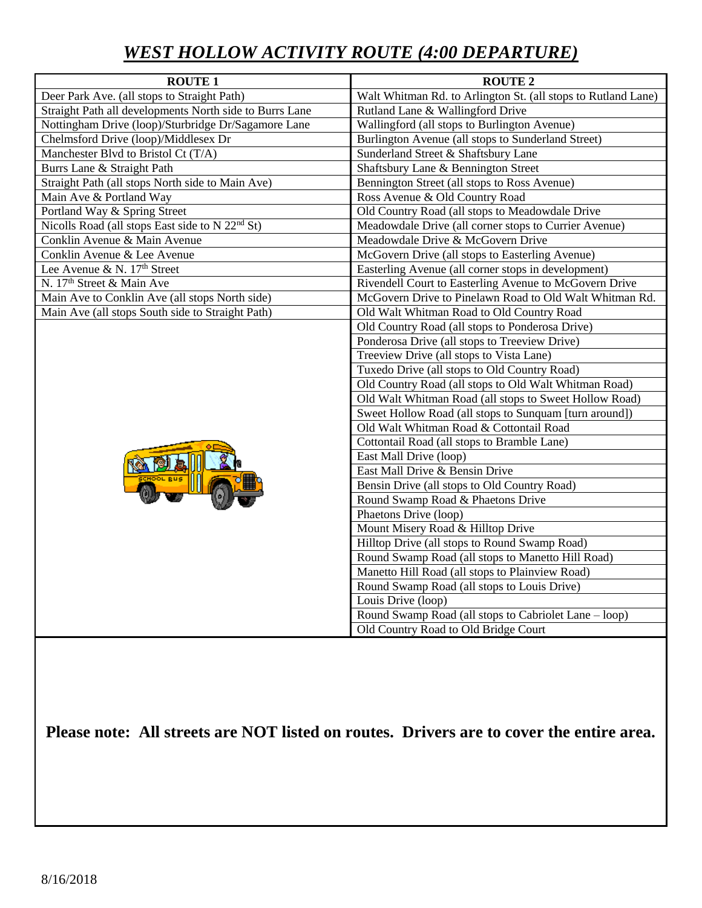# *WEST HOLLOW ACTIVITY ROUTE (4:00 DEPARTURE)*

| <b>ROUTE 1</b>                                              | <b>ROUTE 2</b>                                                |
|-------------------------------------------------------------|---------------------------------------------------------------|
| Deer Park Ave. (all stops to Straight Path)                 | Walt Whitman Rd. to Arlington St. (all stops to Rutland Lane) |
| Straight Path all developments North side to Burrs Lane     | Rutland Lane & Wallingford Drive                              |
| Nottingham Drive (loop)/Sturbridge Dr/Sagamore Lane         | Wallingford (all stops to Burlington Avenue)                  |
| Chelmsford Drive (loop)/Middlesex Dr                        | Burlington Avenue (all stops to Sunderland Street)            |
| Manchester Blvd to Bristol Ct (T/A)                         | Sunderland Street & Shaftsbury Lane                           |
| Burrs Lane & Straight Path                                  | Shaftsbury Lane & Bennington Street                           |
| Straight Path (all stops North side to Main Ave)            | Bennington Street (all stops to Ross Avenue)                  |
| Main Ave & Portland Way                                     | Ross Avenue & Old Country Road                                |
| Portland Way & Spring Street                                | Old Country Road (all stops to Meadowdale Drive               |
| Nicolls Road (all stops East side to N 22 <sup>nd</sup> St) | Meadowdale Drive (all corner stops to Currier Avenue)         |
| Conklin Avenue & Main Avenue                                | Meadowdale Drive & McGovern Drive                             |
| Conklin Avenue & Lee Avenue                                 | McGovern Drive (all stops to Easterling Avenue)               |
| Lee Avenue & N. 17 <sup>th</sup> Street                     | Easterling Avenue (all corner stops in development)           |
| N. 17 <sup>th</sup> Street & Main Ave                       | Rivendell Court to Easterling Avenue to McGovern Drive        |
| Main Ave to Conklin Ave (all stops North side)              | McGovern Drive to Pinelawn Road to Old Walt Whitman Rd.       |
| Main Ave (all stops South side to Straight Path)            | Old Walt Whitman Road to Old Country Road                     |
|                                                             | Old Country Road (all stops to Ponderosa Drive)               |
|                                                             | Ponderosa Drive (all stops to Treeview Drive)                 |
|                                                             | Treeview Drive (all stops to Vista Lane)                      |
|                                                             | Tuxedo Drive (all stops to Old Country Road)                  |
|                                                             | Old Country Road (all stops to Old Walt Whitman Road)         |
|                                                             | Old Walt Whitman Road (all stops to Sweet Hollow Road)        |
|                                                             | Sweet Hollow Road (all stops to Sunquam [turn around])        |
|                                                             | Old Walt Whitman Road & Cottontail Road                       |
|                                                             | Cottontail Road (all stops to Bramble Lane)                   |
|                                                             | East Mall Drive (loop)                                        |
|                                                             | East Mall Drive & Bensin Drive                                |
|                                                             | Bensin Drive (all stops to Old Country Road)                  |
|                                                             | Round Swamp Road & Phaetons Drive                             |
|                                                             | Phaetons Drive (loop)                                         |
|                                                             | Mount Misery Road & Hilltop Drive                             |
|                                                             | Hilltop Drive (all stops to Round Swamp Road)                 |
|                                                             | Round Swamp Road (all stops to Manetto Hill Road)             |
|                                                             | Manetto Hill Road (all stops to Plainview Road)               |
|                                                             | Round Swamp Road (all stops to Louis Drive)                   |
|                                                             | Louis Drive (loop)                                            |
|                                                             | Round Swamp Road (all stops to Cabriolet Lane – loop)         |
|                                                             | Old Country Road to Old Bridge Court                          |

**Please note: All streets are NOT listed on routes. Drivers are to cover the entire area.**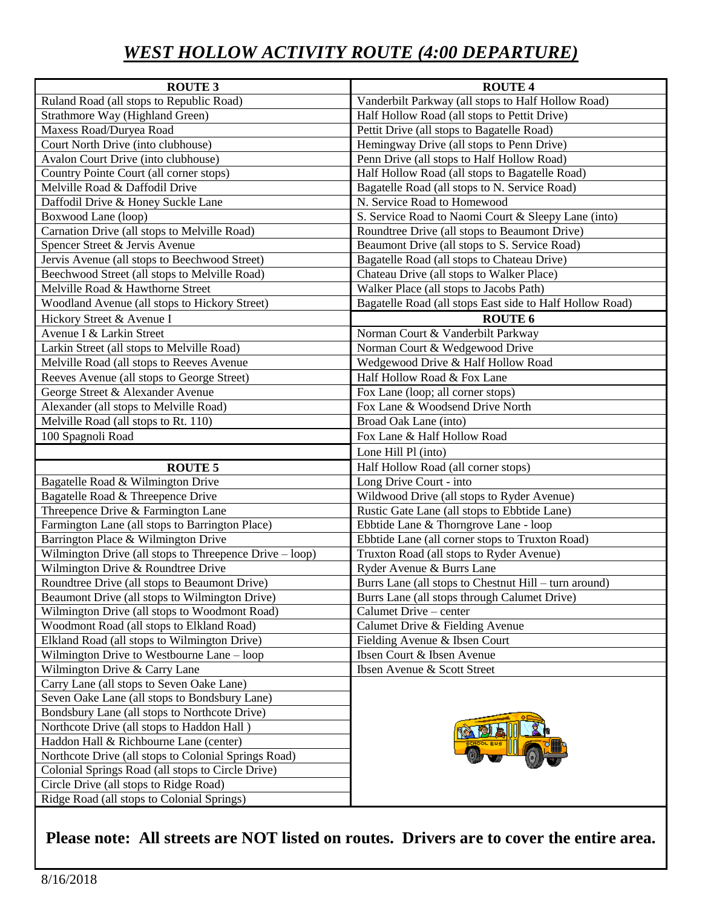## *WEST HOLLOW ACTIVITY ROUTE (4:00 DEPARTURE)*

| <b>ROUTE 3</b>                                          | <b>ROUTE 4</b>                                           |
|---------------------------------------------------------|----------------------------------------------------------|
| Ruland Road (all stops to Republic Road)                | Vanderbilt Parkway (all stops to Half Hollow Road)       |
| Strathmore Way (Highland Green)                         | Half Hollow Road (all stops to Pettit Drive)             |
| Maxess Road/Duryea Road                                 | Pettit Drive (all stops to Bagatelle Road)               |
| Court North Drive (into clubhouse)                      | Hemingway Drive (all stops to Penn Drive)                |
| <b>Avalon Court Drive (into clubhouse)</b>              | Penn Drive (all stops to Half Hollow Road)               |
| Country Pointe Court (all corner stops)                 | Half Hollow Road (all stops to Bagatelle Road)           |
| Melville Road & Daffodil Drive                          | Bagatelle Road (all stops to N. Service Road)            |
| Daffodil Drive & Honey Suckle Lane                      | N. Service Road to Homewood                              |
| Boxwood Lane (loop)                                     | S. Service Road to Naomi Court & Sleepy Lane (into)      |
| Carnation Drive (all stops to Melville Road)            | Roundtree Drive (all stops to Beaumont Drive)            |
| Spencer Street & Jervis Avenue                          | Beaumont Drive (all stops to S. Service Road)            |
| Jervis Avenue (all stops to Beechwood Street)           | Bagatelle Road (all stops to Chateau Drive)              |
| Beechwood Street (all stops to Melville Road)           | Chateau Drive (all stops to Walker Place)                |
| Melville Road & Hawthorne Street                        | Walker Place (all stops to Jacobs Path)                  |
| Woodland Avenue (all stops to Hickory Street)           | Bagatelle Road (all stops East side to Half Hollow Road) |
| Hickory Street & Avenue I                               | <b>ROUTE 6</b>                                           |
| Avenue I & Larkin Street                                | Norman Court & Vanderbilt Parkway                        |
| Larkin Street (all stops to Melville Road)              | Norman Court & Wedgewood Drive                           |
| Melville Road (all stops to Reeves Avenue               | Wedgewood Drive & Half Hollow Road                       |
| Reeves Avenue (all stops to George Street)              | Half Hollow Road & Fox Lane                              |
| George Street & Alexander Avenue                        | Fox Lane (loop; all corner stops)                        |
| Alexander (all stops to Melville Road)                  | Fox Lane & Woodsend Drive North                          |
| Melville Road (all stops to Rt. 110)                    | Broad Oak Lane (into)                                    |
| 100 Spagnoli Road                                       | Fox Lane & Half Hollow Road                              |
|                                                         | Lone Hill Pl (into)                                      |
| <b>ROUTE 5</b>                                          | Half Hollow Road (all corner stops)                      |
| Bagatelle Road & Wilmington Drive                       | Long Drive Court - into                                  |
| Bagatelle Road & Threepence Drive                       | Wildwood Drive (all stops to Ryder Avenue)               |
| Threepence Drive & Farmington Lane                      | Rustic Gate Lane (all stops to Ebbtide Lane)             |
| Farmington Lane (all stops to Barrington Place)         | Ebbtide Lane & Thorngrove Lane - loop                    |
| Barrington Place & Wilmington Drive                     | Ebbtide Lane (all corner stops to Truxton Road)          |
| Wilmington Drive (all stops to Threepence Drive – loop) | Truxton Road (all stops to Ryder Avenue)                 |
| Wilmington Drive & Roundtree Drive                      | Ryder Avenue & Burrs Lane                                |
| Roundtree Drive (all stops to Beaumont Drive)           | Burrs Lane (all stops to Chestnut Hill – turn around)    |
| Beaumont Drive (all stops to Wilmington Drive)          | Burrs Lane (all stops through Calumet Drive)             |
| Wilmington Drive (all stops to Woodmont Road)           | Calumet Drive - center                                   |
| Woodmont Road (all stops to Elkland Road)               | Calumet Drive & Fielding Avenue                          |
| Elkland Road (all stops to Wilmington Drive)            | Fielding Avenue & Ibsen Court                            |
| Wilmington Drive to Westbourne Lane – loop              | Ibsen Court & Ibsen Avenue                               |
| Wilmington Drive & Carry Lane                           | Ibsen Avenue & Scott Street                              |
| Carry Lane (all stops to Seven Oake Lane)               |                                                          |
| Seven Oake Lane (all stops to Bondsbury Lane)           |                                                          |
| Bondsbury Lane (all stops to Northcote Drive)           |                                                          |
| Northcote Drive (all stops to Haddon Hall)              |                                                          |
| Haddon Hall & Richbourne Lane (center)                  |                                                          |
| Northcote Drive (all stops to Colonial Springs Road)    |                                                          |
| Colonial Springs Road (all stops to Circle Drive)       |                                                          |
| Circle Drive (all stops to Ridge Road)                  |                                                          |
| Ridge Road (all stops to Colonial Springs)              |                                                          |

### **Please note: All streets are NOT listed on routes. Drivers are to cover the entire area.**